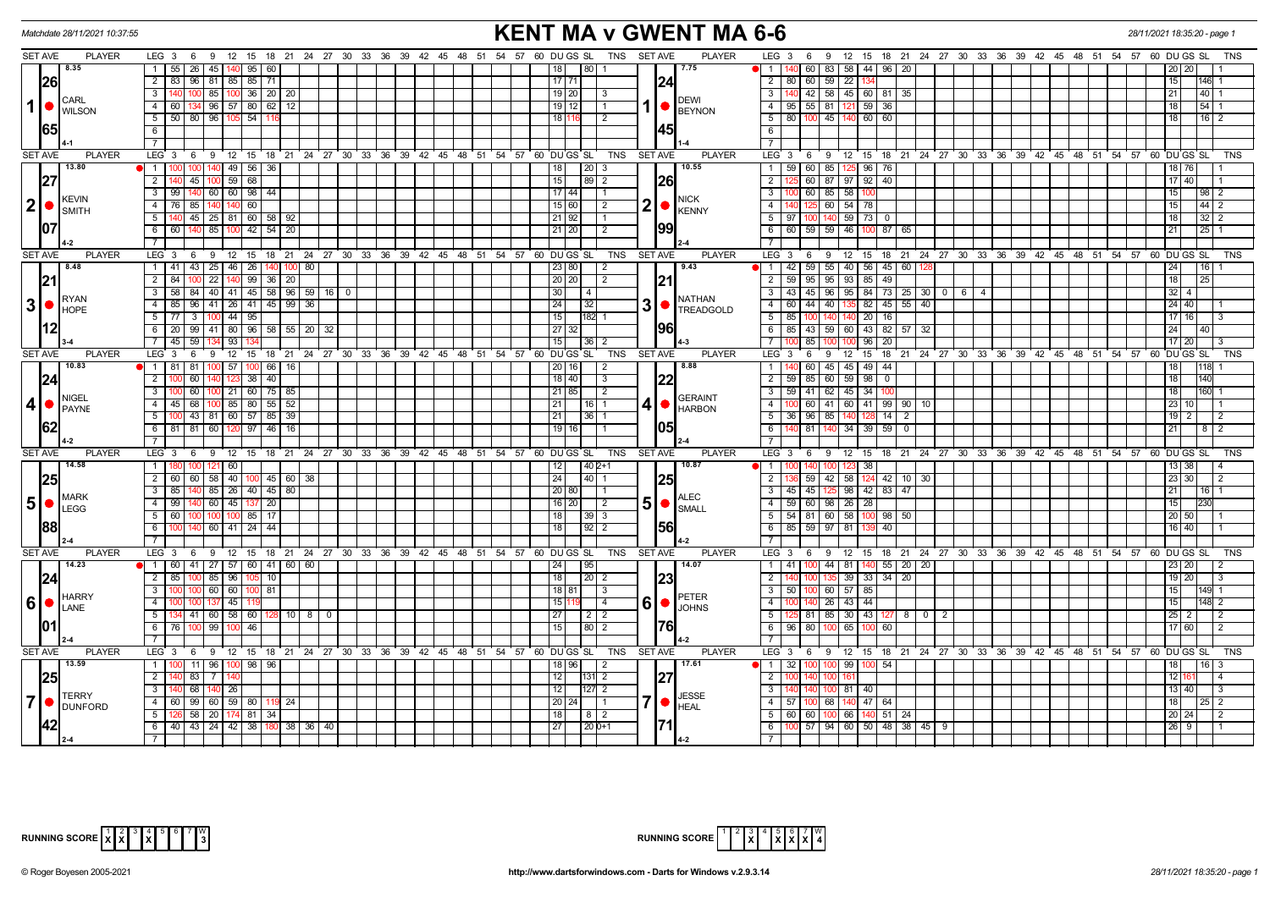|                         | Matchdate 28/11/2021 10:37:55                                                                                                                                                                                                                                                                           |                                                                                                | <b>KENT MA v GWENT MA 6-6</b>                                                                    | 28/11/2021 18:35:20 - page 1                                                                                                      |  |  |  |  |  |  |  |  |
|-------------------------|---------------------------------------------------------------------------------------------------------------------------------------------------------------------------------------------------------------------------------------------------------------------------------------------------------|------------------------------------------------------------------------------------------------|--------------------------------------------------------------------------------------------------|-----------------------------------------------------------------------------------------------------------------------------------|--|--|--|--|--|--|--|--|
| <b>SET AVE</b>          | <b>PLAYER</b>                                                                                                                                                                                                                                                                                           | LEG 3 6 9 12 15 18 21 24 27 30 33 36 39 42 45 48 51 54 57 60 DUGS SL TNS SETAVE                | <b>PLAYER</b>                                                                                    | LEG 3 6 9 12 15 18 21 24 27 30 33 36 39 42 45 48 51 54 57 60 DUGS SL<br>TNS                                                       |  |  |  |  |  |  |  |  |
|                         | 8.35                                                                                                                                                                                                                                                                                                    | 1   55   26   45   140   95   60                                                               | 18  <br>80 1<br>7.75                                                                             | 60 83 58 44 96 20<br>11<br>20   20                                                                                                |  |  |  |  |  |  |  |  |
|                         | <b>26</b>                                                                                                                                                                                                                                                                                               | 2   83   96   81   85   85   71                                                                | $17$   71  <br> 24                                                                               | 2 80 60 59 22<br>15<br>146                                                                                                        |  |  |  |  |  |  |  |  |
|                         |                                                                                                                                                                                                                                                                                                         | 85   100   36   20   20<br>3 I<br>100 l                                                        | 19 20 <br>I 3                                                                                    | $\overline{3}$<br>42 58 45 60 81 35<br> 21 <br>40                                                                                 |  |  |  |  |  |  |  |  |
| $\mathbf{1}$            | <b>CARL</b><br><b>O</b> WILSON                                                                                                                                                                                                                                                                          | 134 96 57 80 62 12<br>4   60                                                                   | <b>DEWI</b><br>$19$ 12<br>$\overline{1}$<br><b>BEYNON</b>                                        | 4 95 55 81 121 59 36<br> 18 <br>54                                                                                                |  |  |  |  |  |  |  |  |
|                         |                                                                                                                                                                                                                                                                                                         | 5   50   80   96   105   54   11                                                               | 18 116<br>$\overline{2}$                                                                         | $5$ 80 100 45 140 60 60<br> 18 <br> 16 2                                                                                          |  |  |  |  |  |  |  |  |
|                         | 165                                                                                                                                                                                                                                                                                                     | 6                                                                                              | 145                                                                                              | 6                                                                                                                                 |  |  |  |  |  |  |  |  |
|                         |                                                                                                                                                                                                                                                                                                         | 71                                                                                             |                                                                                                  | $\overline{7}$                                                                                                                    |  |  |  |  |  |  |  |  |
| <b>SET AVE</b>          | <b>PLAYER</b>                                                                                                                                                                                                                                                                                           | LEG 3 6 9 12 15 18 21 24 27 30 33 36 39 42 45 48 51 54 57 60 DUGS SL                           | TNS<br><b>SET AVE</b><br><b>PLAYER</b>                                                           | LEG 3 6 9 12 15 18 21 24 27 30 33 36 39 42 45 48 51 54 57 60 DUGS SL<br>TNS                                                       |  |  |  |  |  |  |  |  |
|                         | 13.80                                                                                                                                                                                                                                                                                                   | 1   100   100   140   49   56   36                                                             | 10.55<br> 18 <br>$\vert 20 \vert 3$                                                              | 1 59 60 85 125 96 76<br>18 76                                                                                                     |  |  |  |  |  |  |  |  |
|                         | 27                                                                                                                                                                                                                                                                                                      | 45 100 59 68<br>$\overline{2}$                                                                 | 15 <br>$89\overline{2}$<br><b>26</b>                                                             | 60 87 97 92 40<br>$\overline{2}$<br>$17$ 40                                                                                       |  |  |  |  |  |  |  |  |
|                         |                                                                                                                                                                                                                                                                                                         | 3   99   140   60   60   98   44                                                               | $17 44 $ 1                                                                                       | $\overline{3}$<br>100 60 85 58<br>10 <sub>C</sub><br>15<br> 98 2                                                                  |  |  |  |  |  |  |  |  |
| 2 •                     | <b>KEVIN</b><br><b>SMITH</b>                                                                                                                                                                                                                                                                            | 4 76 85 140 140 60                                                                             | <b>NICK</b><br>$2  \bullet  $<br> 15 60 <br>$\overline{2}$<br>KENNY                              | 140 125 60 54 78<br>15<br>4<br>$44$   2                                                                                           |  |  |  |  |  |  |  |  |
|                         |                                                                                                                                                                                                                                                                                                         | $5\vert$<br>140 45 25 81 60 58 92                                                              | 21   92  <br>$\overline{1}$ 1                                                                    | $5 \mid 97 \mid 100 \mid 140 \mid 59 \mid 73 \mid 0$<br>l 18 l<br>3212                                                            |  |  |  |  |  |  |  |  |
|                         | 107                                                                                                                                                                                                                                                                                                     | 85 100 42 54 20<br>$6 \mid 60$<br>140                                                          | 199<br>$21$ 20<br>2                                                                              | 6 60 59 59 46 100<br>87 65<br>21<br>25                                                                                            |  |  |  |  |  |  |  |  |
|                         |                                                                                                                                                                                                                                                                                                         | $\overline{7}$                                                                                 |                                                                                                  | $\overline{7}$                                                                                                                    |  |  |  |  |  |  |  |  |
| <b>SET AVE</b>          | <b>PLAYER</b>                                                                                                                                                                                                                                                                                           | $LEG_3$<br>$9 \t12$<br>15 18 21 24 27 30 33 36 39 42 45 48 51 54 57 60 DUGS SL<br>6            | <b>TNS</b><br><b>SET AVE</b><br><b>PLAYER</b>                                                    | LEG <sub>3</sub><br>6 9 12 15 18 21 24 27 30 33 36 39 42 45 48 51 54 57 60 DUGS SL<br><b>TNS</b>                                  |  |  |  |  |  |  |  |  |
|                         | 8.48                                                                                                                                                                                                                                                                                                    | 1   41   43   25   46   26   140   100   80                                                    | 23 80 <br>9.43<br>$\vert$ 2                                                                      | 1 42 59 55 40 56 45 60 128<br> 24 <br> 16                                                                                         |  |  |  |  |  |  |  |  |
|                         | 21                                                                                                                                                                                                                                                                                                      | $2 \mid 84 \mid$<br>22   140   99   36   20                                                    | <b>21</b><br> 20 20 <br>$\vert$ 2                                                                | 95 95 93 85 49<br>$2 \mid 59 \mid$<br>118<br>25                                                                                   |  |  |  |  |  |  |  |  |
|                         |                                                                                                                                                                                                                                                                                                         | $3   58   84   40   41   45   58   96   59   16   0$                                           | 30<br>$\vert 4 \vert$                                                                            | $\frac{1}{32}$ 4<br>$3   43   45   96   95   84   73   25   30   0   6   4$                                                       |  |  |  |  |  |  |  |  |
|                         | RYAN<br>$3 \cdot \frac{R^{YAN}}{HOPE}$                                                                                                                                                                                                                                                                  | 4<br>85<br>96 41 26 41 45 99 36                                                                | NATHAN<br>$3$ $\bullet$ $\left  \frac{\text{NMLW}}{\text{TREADGOLD}} \right $<br>24<br> 32       | 135 82 45 55 40<br>4 60 44 40<br>24 40                                                                                            |  |  |  |  |  |  |  |  |
|                         |                                                                                                                                                                                                                                                                                                         | $\overline{\mathbf{3}}$<br>$100$ 44 $\overline{95}$<br>$5 \mid 77$                             | 15<br>182 1                                                                                      | $5 \mid 85$<br>140 20<br>100 140<br>16<br>$17$ 16                                                                                 |  |  |  |  |  |  |  |  |
|                         |                                                                                                                                                                                                                                                                                                         | 6   20   99   41   80   96   58   55   20   32                                                 | 196<br> 27 32                                                                                    | 6 85 43 59 60 43 82 57 32<br> 24 <br>40                                                                                           |  |  |  |  |  |  |  |  |
|                         |                                                                                                                                                                                                                                                                                                         | 59<br>7 45<br>134 93                                                                           | 15<br> 36                                                                                        | $\overline{7}$<br>85 100<br>100 96<br>17 20<br>20 <sub>1</sub>                                                                    |  |  |  |  |  |  |  |  |
| <b>SET AVE</b>          | <b>PLAYER</b>                                                                                                                                                                                                                                                                                           | LEG 3 6 9 12 15 18 21 24 27 30 33 36 39 42 45 48 51 54 57 60 DUGS SL                           | <b>SET AVE</b><br><b>PLAYER</b><br>TNS                                                           | 6 9 12 15 18 21 24 27 30 33 36 39 42 45 48 51 54 57 60 DUGSSL<br>LEG <sub>3</sub><br><b>TNS</b>                                   |  |  |  |  |  |  |  |  |
|                         | 10.83                                                                                                                                                                                                                                                                                                   | 1 81 81<br>$100$ 57<br>100 66 16                                                               | 8.88<br>20 16 <br>$\overline{2}$                                                                 | 1<br>60 45 45 49<br>44<br>18 <sup>1</sup><br>1118                                                                                 |  |  |  |  |  |  |  |  |
|                         | 24                                                                                                                                                                                                                                                                                                      | 2 <sup>1</sup><br>60<br>$38 \mid 40 \mid$<br>140 123                                           | 22<br>18   40<br>l 3                                                                             | 2 59<br>85 60 59 98<br>18<br>$\mathbf{0}$<br>140                                                                                  |  |  |  |  |  |  |  |  |
|                         | <b>NIGEL</b>                                                                                                                                                                                                                                                                                            | $\overline{\mathbf{3}}$<br>60<br>100 21 60 75 85                                               | 21 85 <br>$\sqrt{2}$<br><b>GERAINT</b>                                                           | $3$   59   41   62   45   34  <br>18<br>160                                                                                       |  |  |  |  |  |  |  |  |
| $\overline{\mathbf{4}}$ | <b>PAYNE</b>                                                                                                                                                                                                                                                                                            | 4   45   68   100   85   80   55   52                                                          | 4 •<br> 21 <br>$16$   1<br><b>HARBON</b>                                                         | 60 41 60 41 99 90 10<br>  23   10  <br>$\overline{4}$                                                                             |  |  |  |  |  |  |  |  |
|                         |                                                                                                                                                                                                                                                                                                         | 100 43 81 60 57 85 39<br>5                                                                     | 36 1<br>21 I                                                                                     | 5 36 96 85 140<br>14<br>$19$   2<br>128<br>$\overline{2}$<br><u>2</u>                                                             |  |  |  |  |  |  |  |  |
|                         | 162                                                                                                                                                                                                                                                                                                     | 6 81 81 60 120<br>97   46   16                                                                 | 105<br>19 16                                                                                     | 6<br>140 81 140 34 39 59<br>  21  <br>$\mathbf{0}$<br>  8  <br>2                                                                  |  |  |  |  |  |  |  |  |
|                         |                                                                                                                                                                                                                                                                                                         | 7 <sup>1</sup>                                                                                 |                                                                                                  | $\overline{7}$                                                                                                                    |  |  |  |  |  |  |  |  |
| <b>SET AVE</b>          | <b>PLAYER</b>                                                                                                                                                                                                                                                                                           | $LEG_3$<br><b>9</b><br>$^{\circ}$ 12<br>15 18 21 24 27 30 33 36 39 42 45 48 51<br>6            | <b>SET AVE</b><br><b>PLAYER</b><br>54 57 60 DU GS SL<br><b>TNS</b>                               | LEG <sub>3</sub><br>6 9<br>$12 \quad 15$<br>18 21 24 27 30 33 36 39 42 45 48 51 54 57<br>60 DU GS SL<br><b>TNS</b>                |  |  |  |  |  |  |  |  |
|                         | 14.58                                                                                                                                                                                                                                                                                                   | 1   180   100   121   60                                                                       | $1402+1$<br>10.87<br> 12                                                                         | 123 38<br>  13   38  <br>$1 \mid$<br>4                                                                                            |  |  |  |  |  |  |  |  |
|                         | 25                                                                                                                                                                                                                                                                                                      | 60 58 40<br>2   60<br>$100 \mid 45 \mid 60 \mid 38$                                            | 24<br>$140$   1<br> 25                                                                           | 59 42 58<br>23 30<br>$\overline{2}$<br>124 42 10 30<br>$\overline{2}$                                                             |  |  |  |  |  |  |  |  |
|                         | <b>MARK</b>                                                                                                                                                                                                                                                                                             | 85   26   40   45   80<br>$\overline{\phantom{a}3}$<br>85                                      | 20   80  <br>$\overline{11}$<br><b>ALEC</b>                                                      | 3   45   45   125   98   42   83   47<br> 21 <br>  16   1                                                                         |  |  |  |  |  |  |  |  |
|                         | $\vert 5 \vert \bullet \vert_{\text{LEGG}}^{\text{MAKR}}$                                                                                                                                                                                                                                               | $4 \mid 99 \mid$<br>140 60 45 137 20                                                           | $5\bullet$<br>$16$ 20<br>$\vert$ 2<br>SMALL                                                      | 4 59 60 98 26 28<br>15<br>1230                                                                                                    |  |  |  |  |  |  |  |  |
|                         |                                                                                                                                                                                                                                                                                                         | $5 \mid 60 \mid$<br>100 100 100 85 17                                                          | 18  <br> 39 3                                                                                    | $5$   54   81   60   58   100   98   50<br> 20 50                                                                                 |  |  |  |  |  |  |  |  |
|                         | 88                                                                                                                                                                                                                                                                                                      | $60$ 41 24 44<br>6                                                                             | 56<br>18<br>$92$   2                                                                             | $6$ 85 59 97 81<br>16 40 <br>40                                                                                                   |  |  |  |  |  |  |  |  |
| SET AVE                 | <b>PLAYER</b>                                                                                                                                                                                                                                                                                           | LEG 3                                                                                          | <b>TNS</b><br><b>SET AVE</b><br><b>PLAYER</b>                                                    | $LEG \ 3$<br><b>TNS</b>                                                                                                           |  |  |  |  |  |  |  |  |
|                         | 14.23                                                                                                                                                                                                                                                                                                   | 9 12 15 18 21 24 27 30 33 36 39 42 45 48 51 54 57 60 DUGS SL<br>6<br>1 60 41 27 57 60 41 60 60 | 24<br>$\sqrt{95}$<br>14.07                                                                       | 6 9 12 15 18 21 24 27 30 33 36 39 42 45 48 51 54 57 60 DUGS SL<br>$1 \t141$<br>100 44 81 140 55 20 20<br>23 20 <br>$\overline{2}$ |  |  |  |  |  |  |  |  |
|                         |                                                                                                                                                                                                                                                                                                         | $2 \mid 85$<br>85 96<br>105 10<br>1በበ                                                          | 23<br>18<br>$\vert 20 \vert 2$                                                                   | $\overline{2}$<br>39 33 34 20<br>  19   20  <br>-3                                                                                |  |  |  |  |  |  |  |  |
|                         | 24                                                                                                                                                                                                                                                                                                      | 3 I<br>100 60 60 1<br>100 81                                                                   | $18$   81 <br>$\vert$ 3                                                                          | $3$ 50 100 60 57 85<br>15                                                                                                         |  |  |  |  |  |  |  |  |
|                         | <b>HARRY</b>                                                                                                                                                                                                                                                                                            | 4<br>$7 \overline{45}$                                                                         | PETER<br>6 • <br>15<br>l 4                                                                       | 140 26 43 44<br>$\overline{4}$<br>15<br>$\overline{2}$                                                                            |  |  |  |  |  |  |  |  |
|                         | $ 6 $ $\bullet$ $\big $ $\big $ $\big $ $\big $ $\big $ $\big $ $\big $ $\big $ $\big $ $\big $ $\big $ $\big $ $\big $ $\big $ $\big $ $\big $ $\big $ $\big $ $\big $ $\big $ $\big $ $\big $ $\big $ $\big $ $\big $ $\big $ $\big $ $\big $ $\big $ $\big $ $\big $ $\big $ $\big $ $\big $ $\big $ | $41 \mid 60 \mid 58 \mid 60 \mid$<br>5  <br>  10   8  <br>$\overline{0}$<br>134 I              | <b>JOHNS</b><br>27 <sub>l</sub><br>$\begin{array}{c c c c c} \hline 2 & 2 \\ \hline \end{array}$ | 5<br>81 85 30 43 127 8 0<br>$\sqrt{25}$ 2<br>$\overline{2}$<br>$\overline{2}$                                                     |  |  |  |  |  |  |  |  |
| 101                     |                                                                                                                                                                                                                                                                                                         | 99 100<br>46<br>6   76  <br>100                                                                | 76<br>15<br>$80$   2                                                                             | 6 96<br>80 100<br>65<br>60<br>17 60 <br>$\overline{2}$<br>10 <sub>C</sub>                                                         |  |  |  |  |  |  |  |  |
|                         |                                                                                                                                                                                                                                                                                                         | $\overline{7}$                                                                                 |                                                                                                  | $\overline{7}$                                                                                                                    |  |  |  |  |  |  |  |  |
| <b>SET AVE</b>          | <b>PLAYER</b>                                                                                                                                                                                                                                                                                           | LEG 3 6 9 12 15 18 21 24 27 30 33 36 39 42 45 48 51 54 57 60 DUGS SL                           | <b>SET AVE</b><br><b>PLAYER</b><br>TNS                                                           | LEG 3  6  9  12  15  18  21  24  27  30  33  36  39  42  45  48  51  54  57  60  DUGSSL<br><b>TNS</b>                             |  |  |  |  |  |  |  |  |
|                         | 13.59                                                                                                                                                                                                                                                                                                   | 11 96 100 98 96<br>1   100                                                                     | 17.61<br>18   96  <br>2                                                                          | 1 32<br>$99 \mid$<br>54<br>18 I<br>  16  <br>-3                                                                                   |  |  |  |  |  |  |  |  |
|                         | 25                                                                                                                                                                                                                                                                                                      | 2<br>83<br>7   14                                                                              | 27<br>12<br>$ 131 $ 2                                                                            | 2 <sup>1</sup><br>12 16<br>$\overline{4}$                                                                                         |  |  |  |  |  |  |  |  |
|                         |                                                                                                                                                                                                                                                                                                         | 3 <sup>1</sup><br>68<br>$140$ 26                                                               | 12<br>$\sqrt{127}$ 2                                                                             | $\overline{3}$<br>81<br>40<br>13 40 <br>3                                                                                         |  |  |  |  |  |  |  |  |
| $\overline{7}$          | <b>TERRY</b>                                                                                                                                                                                                                                                                                            | 99 60 59 80 19<br>4 60                                                                         | <b>JESSE</b><br>7 •<br>$ 20 24$   1                                                              | 140 47 64<br>4 57 100 68<br>18<br>-2                                                                                              |  |  |  |  |  |  |  |  |
|                         | <b>DUNFORD</b>                                                                                                                                                                                                                                                                                          | 5 <sup>1</sup><br>26 58 20 174 81 34                                                           | <b>HEAL</b><br> 18 <br>8 <sup>2</sup>                                                            | 5   60   60   100   66   140<br>51 24<br> 20 24 <br>2                                                                             |  |  |  |  |  |  |  |  |
|                         |                                                                                                                                                                                                                                                                                                         | 6 40 43 24 42 38 180 38 36 40                                                                  | 27 <br>$ 20 0+1$                                                                                 | 100 57 94 60 50 48 38 45<br>6 <sup>1</sup><br> 26 9<br>-91                                                                        |  |  |  |  |  |  |  |  |
|                         |                                                                                                                                                                                                                                                                                                         |                                                                                                |                                                                                                  | 7 <sup>1</sup>                                                                                                                    |  |  |  |  |  |  |  |  |



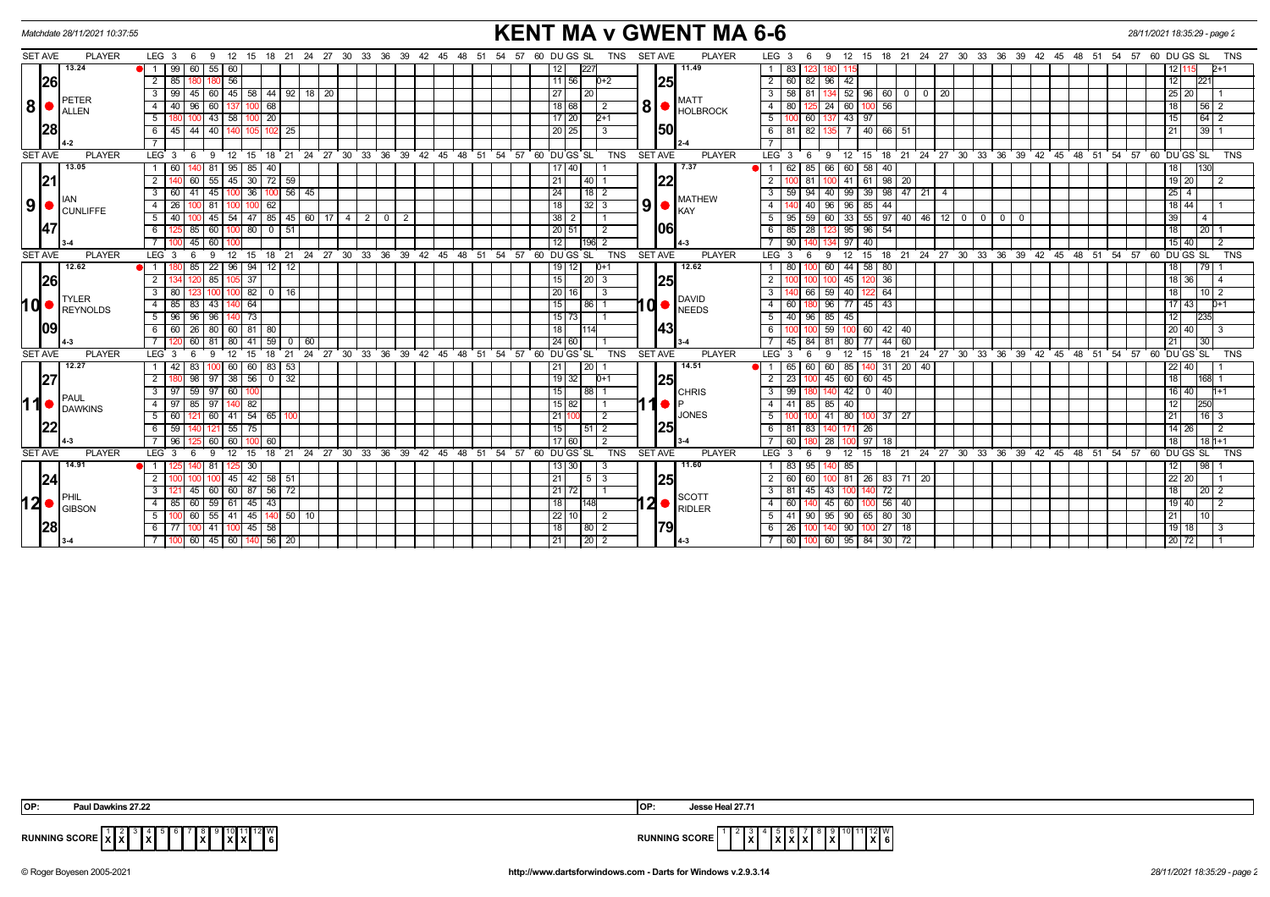| <b>KENT MA v GWENT MA 6-6</b><br>Matchdate 28/11/2021 10:37:55 |                    |                                        |                     |                                           |                               |                                  |  |  |                |                         |      | 28/11/2021 18:35:29 - page 2 |                                                   |                 |                               |                    |       |                         |                                                                                           |                  |             |                 |                                 |             |                                        |  |  |       |                                                                     |             |                           |                |            |
|----------------------------------------------------------------|--------------------|----------------------------------------|---------------------|-------------------------------------------|-------------------------------|----------------------------------|--|--|----------------|-------------------------|------|------------------------------|---------------------------------------------------|-----------------|-------------------------------|--------------------|-------|-------------------------|-------------------------------------------------------------------------------------------|------------------|-------------|-----------------|---------------------------------|-------------|----------------------------------------|--|--|-------|---------------------------------------------------------------------|-------------|---------------------------|----------------|------------|
| <b>SET AVE</b>                                                 | <b>PLAYER</b>      | $LEG_3 6$                              | 9<br>12             |                                           |                               | 15 18 21 24 27 30 33 36 39 42 45 |  |  |                |                         |      | 48<br>- 51                   | 54 57                                             |                 | 60 DU GS SL                   | <b>TNS</b>         |       | <b>SET AVE</b>          | <b>PLAYER</b>                                                                             | LEG <sub>3</sub> |             | - 6             | 9 12                            | 15          |                                        |  |  |       | 18 21 24 27 30 33 36 39 42 45 48 51 54 57                           | 60 DU GS SL |                           |                | TNS        |
|                                                                | 13.24              | 99 I<br>60<br>$\bullet$ 1              | $55 \mid 60$        |                                           |                               |                                  |  |  |                |                         |      |                              |                                                   | 12              | 227                           |                    |       |                         | 11.49                                                                                     | $\overline{1}$   | 83          |                 |                                 |             |                                        |  |  |       |                                                                     |             | 12 1                      | 12+1           |            |
| 26                                                             |                    | $2 \mid 85$                            | 56                  |                                           |                               |                                  |  |  |                |                         |      |                              |                                                   |                 | 11 56                         | $D+2$              |       | <b>25</b>               |                                                                                           |                  | $2 \mid 60$ | 82              | $96 \mid 42$                    |             |                                        |  |  |       |                                                                     | 12          |                           | 221            |            |
|                                                                |                    | $\overline{3}$<br>99<br>45             | 60   45             |                                           |                               | 58 44 92 18 20                   |  |  |                |                         |      |                              |                                                   | 27              | 120                           |                    |       |                         |                                                                                           |                  | 58          | 81              | 52                              |             | $96 \ 60 \ 0 \ 0 \ 20$                 |  |  |       |                                                                     |             | 25 20                     |                |            |
| 8 <sup>1</sup>                                                 | PETER<br>ALLEN     | 4<br>-40 I<br>96                       | 60                  | 100                                       | 68                            |                                  |  |  |                |                         |      |                              |                                                   |                 | 18 68                         | $\overline{2}$     |       |                         | <b>MATT</b><br>$\mathbf{8}$ $\bullet$ $\mathbf{F}$ $\mathbf{F}$ $\mathbf{F}$ $\mathbf{F}$ | 4 I              | 80          |                 | 24 60                           | 100         | 56                                     |  |  |       |                                                                     | 18          |                           | 56 2           |            |
|                                                                |                    | 5<br>100                               | $43 \mid 58$        | 100 I                                     | 20                            |                                  |  |  |                |                         |      |                              |                                                   |                 | $17$   20                     | $2+1$              |       |                         |                                                                                           | 5                |             | 60              | 137 43                          | 97          |                                        |  |  |       |                                                                     | 15          |                           | 64 2           |            |
| 28                                                             |                    | 44<br>6<br>45 I                        | 40                  |                                           | 25                            |                                  |  |  |                |                         |      |                              |                                                   |                 | 20 25                         |                    |       | 50                      |                                                                                           |                  | $6 \mid 81$ | 82              |                                 |             | $140 \ 66 \ 51$                        |  |  |       |                                                                     | 21          |                           | 39             |            |
|                                                                |                    |                                        |                     |                                           |                               |                                  |  |  |                |                         |      |                              |                                                   |                 |                               |                    |       |                         |                                                                                           |                  |             |                 |                                 |             |                                        |  |  |       |                                                                     |             |                           |                |            |
| <b>SET AVE</b>                                                 | <b>PLAYER</b>      | $LEG \ 3$<br>6                         | 9<br>$^{\circ}$ 12  | 15                                        | $^{\circ}$ 18                 | 21 24 27 30 33 36 39 42          |  |  |                |                         | ີ 45 | ່ 48 ່ 51                    |                                                   |                 | $54$ $57$ $60$ $DU$ $GS$ $SL$ | <b>TNS</b>         |       | <b>SET AVE</b>          | <b>PLAYER</b>                                                                             | LEG <sub>3</sub> |             | - 6             | $^{\circ}$ 12<br>9              | 15          | 18 21 24 27 30 33 36 39                |  |  |       | 42 45 48 51 54 57 60 DUGS SL                                        |             |                           |                | <b>TNS</b> |
|                                                                | 13.05              | 60                                     | 95<br>-81           | 85                                        | 40                            |                                  |  |  |                |                         |      |                              |                                                   |                 | 17   40                       |                    |       |                         | 7.37                                                                                      | l 1              | 62          | 85              | 66 I<br>60                      | 58          | 40                                     |  |  |       |                                                                     | 18          |                           | 130            |            |
| 21                                                             |                    | $\overline{2}$<br>60                   | 55<br>45            |                                           | $30$ 72 59                    |                                  |  |  |                |                         |      |                              |                                                   | 21              |                               | $\overline{140}$   |       | 22                      |                                                                                           | $\overline{2}$   |             | 81              | 41                              | 61          | 98<br>20                               |  |  |       |                                                                     |             | $19$ 20                   | $\overline{2}$ |            |
|                                                                |                    | $\overline{\phantom{a}3}$<br>$60$   41 | 45                  | 36                                        | $100$ 56 $\sqrt{45}$          |                                  |  |  |                |                         |      |                              |                                                   | 24              |                               | 118 I 2            |       |                         | <b>MATHEW</b>                                                                             | 3 I              | $-59$       | $\overline{94}$ | 40   99   39   98   47   21   4 |             |                                        |  |  |       |                                                                     |             | $\sqrt{25}$ 4             |                |            |
| 9 <sup>1</sup>                                                 | AΝ<br>CUNLIFFE     | $\overline{4}$<br>26                   | 81                  | 100                                       | 62                            |                                  |  |  |                |                         |      |                              |                                                   | 18 <sup>1</sup> |                               | $\sqrt{32}$ 3      | 9     |                         | KAY                                                                                       | $\overline{4}$   |             | 40              | $-96$<br>96 I                   | 85          | 44                                     |  |  |       |                                                                     |             | 18 44                     |                |            |
|                                                                |                    | 5<br>40                                | $45 \mid 54 \mid$   |                                           |                               | $47$ 85 45 60 17 4 2             |  |  | $\overline{0}$ | $\overline{2}$          |      |                              |                                                   |                 | $38$   2                      | $^{-1}$            |       |                         |                                                                                           | 51               | 95          | 59              | 60 33                           |             | 55   97   40   46   12   0   0   0   0 |  |  |       |                                                                     | 39          |                           | $\overline{4}$ |            |
| 47                                                             |                    | 85<br>6                                | 60                  | 80                                        | $0$ 51                        |                                  |  |  |                |                         |      |                              |                                                   |                 | 20 51                         | $\overline{2}$     |       | 106                     |                                                                                           | 6                | 85          | 28              | 95                              | 96          | $-54$                                  |  |  |       |                                                                     | 18          |                           | 20             |            |
|                                                                |                    | 7 <sup>1</sup><br>45                   | 60                  |                                           |                               |                                  |  |  |                |                         |      |                              |                                                   | 12              |                               | 196<br>2           |       |                         | $4 - 3$                                                                                   |                  | 90          |                 | 97                              | $-40$       |                                        |  |  |       |                                                                     |             | 15 40                     | $\overline{2}$ |            |
| <b>SET AVE</b>                                                 | <b>PLAYER</b>      | $LEG_3$<br>6                           | 9                   | 12 15 18 21 24 27 30 33 36 39 42 45 48 51 |                               |                                  |  |  |                |                         |      |                              | 54 57 60 DU GS SL                                 |                 |                               | <b>TNS</b>         |       | <b>SET AVE</b>          | <b>PLAYER</b>                                                                             | $LEG \ 3$        |             | - 6             | 12<br>9                         |             |                                        |  |  |       | 15 18 21 24 27 30 33 36 39 42 45 48 51 54 57                        | 60 DUGS SL  |                           |                | <b>TNS</b> |
|                                                                | 12.62              | $\blacksquare$ 1<br>85                 | 22<br>96            | 94                                        | 12 <sup>1</sup><br>12         |                                  |  |  |                |                         |      |                              |                                                   |                 | 19 12                         | $D+1$              |       | <b>25</b><br><b>143</b> | 12.62<br>DAVID<br>$10o$ $\sqrt{\frac{1}{NEEDS}}$                                          |                  | 80          |                 | 44<br>60                        | 58          | 80                                     |  |  |       |                                                                     | 18          |                           | 79             |            |
| 26                                                             |                    | $\overline{2}$                         | 85                  | 37                                        |                               |                                  |  |  |                |                         |      |                              |                                                   | 15              |                               | $\vert 20 \vert 3$ |       |                         |                                                                                           | $\overline{2}$   |             |                 | 45                              | 120         | 36                                     |  |  |       |                                                                     |             | 18 36                     | $\overline{4}$ |            |
|                                                                | <b>TYLER</b>       | 3<br>80                                |                     | 82                                        | 16                            |                                  |  |  |                |                         |      |                              |                                                   |                 | $20$ 16                       | -3                 |       |                         |                                                                                           | 3                | 140         | 66              | 40<br>59                        |             | 64                                     |  |  |       |                                                                     | 18          |                           | $10$   2       |            |
|                                                                | 10 <b>REYNOLDS</b> | $4 \mid 85 \mid 83 \mid$               | 43 I                | 64                                        |                               |                                  |  |  |                |                         |      |                              |                                                   | 15              |                               | 86 1               |       |                         |                                                                                           | 4                | 60          |                 | 96 77 45 43                     |             |                                        |  |  |       |                                                                     |             | 17 43                     | $D+1$          |            |
|                                                                | 09                 | $5 \mid 96 \mid$<br>96                 | 96                  | 73                                        |                               |                                  |  |  |                |                         |      |                              |                                                   |                 | $15$ 73                       |                    |       |                         |                                                                                           | 51               | 40          | 96              | 85 45                           |             |                                        |  |  |       |                                                                     | 12          |                           | 235            |            |
|                                                                |                    | 6 6 60 26 80 60 81 80                  |                     |                                           |                               |                                  |  |  |                |                         |      |                              |                                                   | 18              | 114                           |                    |       |                         |                                                                                           | 6 <sup>1</sup>   |             |                 | $59$ 100 60                     |             | $42 \mid 40$                           |  |  |       |                                                                     |             | 20 40                     | 3              |            |
|                                                                |                    | 7 <sup>1</sup><br>60                   | 81<br>80            | 41                                        | 59<br>$\Omega$                | 60                               |  |  |                |                         |      |                              |                                                   |                 | 24 60                         |                    |       |                         |                                                                                           |                  | 45          | 84              | 81<br>80                        | 77          | 60<br>44                               |  |  |       |                                                                     | 21          |                           | 30             |            |
| <b>SET AVE</b>                                                 | <b>PLAYER</b>      | LEG <sub>3</sub><br>6                  | $\mathbf{q}$<br>12  | 15                                        | 18                            |                                  |  |  |                |                         |      |                              | 21 24 27 30 33 36 39 42 45 48 51 54 57 60 DUGS SL |                 |                               | <b>TNS</b>         |       | <b>SET AVE</b>          | <b>PLAYER</b>                                                                             | LEG <sub>3</sub> |             |                 | 12<br><b>q</b>                  | 15          |                                        |  |  |       | 18  21  24  27  30  33  36  39  42  45  48  51  54  57  60  DUGS SL |             |                           |                | <b>TNS</b> |
|                                                                | 12.27              | $\overline{1}$<br>83                   | 83 53<br>60<br>60 I |                                           |                               |                                  |  |  |                |                         | 21   | 20                           |                                                   |                 |                               | 14.51              |       | 65                      | 60                                                                                        | 60 85            |             | $31 \ 20 \ 40$  |                                 |             |                                        |  |  | 22 40 |                                                                     |             |                           |                |            |
| 27                                                             |                    | $\overline{2}$<br>98                   | $97 \mid 38 \mid$   |                                           | 56032                         |                                  |  |  |                |                         |      |                              |                                                   |                 | 19 32                         | $D+1$              |       |                         | 25                                                                                        |                  | $2 \mid 23$ | 100             | 45 60                           | 60 45       |                                        |  |  |       |                                                                     | 18          |                           | $ 168 $ 1      |            |
|                                                                | PAUL               | 3   97   59                            | 97 60               | 100                                       |                               |                                  |  |  |                |                         |      |                              |                                                   | 15              |                               | <b>88</b>          |       |                         | <b>CHRIS</b>                                                                              | 3 <sup>1</sup>   | 99          |                 | 42                              | $\mathbf 0$ | 40                                     |  |  |       |                                                                     |             | 16 40                     | $h+1$          |            |
| 11                                                             | <b>DAWKINS</b>     | 4   97  <br>85                         | 97                  | 82                                        |                               |                                  |  |  |                |                         |      |                              |                                                   |                 | 15 82                         | 1                  |       |                         |                                                                                           |                  | $4 \mid 41$ | 85              | $85 \mid 40$                    |             |                                        |  |  |       |                                                                     | 12          |                           | <b>250</b>     |            |
|                                                                |                    | 5  <br>60                              | 60   41             | 54   65                                   |                               |                                  |  |  |                |                         |      |                              |                                                   | 21 <sup>1</sup> |                               | $\overline{2}$     |       |                         | <b>JONES</b>                                                                              |                  |             |                 | 41 80                           |             | 37 27                                  |  |  |       |                                                                     | 21          |                           | $16$   3       |            |
| 22                                                             |                    | 6<br>59                                | 55<br>121           | 75                                        |                               |                                  |  |  |                |                         |      |                              |                                                   | 15              | 151                           |                    |       | 25                      |                                                                                           |                  | 6   81      | 83              |                                 | 26          |                                        |  |  |       |                                                                     |             | 14 26                     | 2              |            |
|                                                                |                    |                                        | 60<br>60            |                                           | -60                           |                                  |  |  |                |                         |      |                              |                                                   |                 | 17 60                         |                    |       |                         |                                                                                           |                  | 60          |                 |                                 | 97          |                                        |  |  |       |                                                                     | 18          |                           | $18 1+1$       |            |
| <b>SET AVE</b>                                                 | <b>PLAYER</b>      | LEG <sub>3</sub>                       | <b>q</b><br>12      | 15                                        | 18<br>21                      |                                  |  |  |                | 24 27 30 33 36 39 42 45 |      | 48<br>51                     | 54 57                                             |                 | 60 DU GS SL                   | <b>TNS</b>         |       | <b>SET AVE</b>          | <b>PLAYER</b>                                                                             | LEG <sub>3</sub> |             |                 | $12 \overline{ }$<br>۰Q         | 15          | 18<br>$^{\circ}$ 21                    |  |  |       | 24 27 30 33 36 39 42 45 48 51 54 57                                 | 60 DU GS SL |                           |                | <b>TNS</b> |
|                                                                | 14.91              | $\blacksquare$ 1 1                     | -81                 | 30                                        |                               |                                  |  |  |                |                         |      |                              | 13   30                                           |                 |                               |                    | 11.60 |                         | 83                                                                                        | 95               | 85          |                 |                                 |             |                                        |  |  | 12    |                                                                     | 98          |                           |                |            |
| 24                                                             |                    | $\overline{2}$                         | 45                  | 42                                        | $58$   51                     |                                  |  |  |                |                         |      |                              |                                                   | 21              |                               | 5 1 3              |       | 25                      |                                                                                           | $\overline{2}$   | 60          | 60              | 81                              | 26          | 83 71 20                               |  |  |       |                                                                     |             | 22 20                     |                |            |
|                                                                |                    | $\overline{3}$<br>45                   | 60   60             | 87                                        | $56$ 72                       |                                  |  |  |                |                         |      |                              |                                                   |                 | $21$ 72                       |                    |       |                         | SCOTT                                                                                     |                  | $3 \mid 81$ | 45              | 43                              |             | 72                                     |  |  |       |                                                                     | 18          |                           | 20 2           |            |
| $12 \cdot \frac{PHIL}{GIBSON}$                                 |                    | $\overline{4}$<br>85<br>60             | 59<br>61            | 45                                        | 43                            |                                  |  |  |                |                         |      |                              |                                                   | 18              | 148                           |                    |       |                         | $2 \bullet \frac{\text{SUCI}}{\text{RIDLER}}$                                             | $\overline{4}$   | 60          |                 | $45 \overline{\phantom{0}} 60$  |             | 56<br>40                               |  |  |       |                                                                     |             | 19   40                   | $\overline{2}$ |            |
|                                                                |                    | $\overline{5}$<br>60                   | $55$   41           |                                           | $45 \mid 140 \mid 50 \mid 10$ |                                  |  |  |                |                         |      |                              |                                                   |                 | $22$ 10                       | $\overline{12}$    |       |                         |                                                                                           |                  | $5 \mid 41$ | 90              | 95 90 65 80 30                  |             |                                        |  |  |       |                                                                     | 21          |                           | 10             |            |
| 28                                                             |                    | 6<br>77                                | 41                  | $45$ 58                                   |                               |                                  |  |  |                |                         |      |                              |                                                   | 18              |                               | 80 2               |       | 79                      |                                                                                           | 6                | 26          |                 | 90                              |             | $27$ 18                                |  |  |       |                                                                     |             | $19$ 18                   | 3              |            |
|                                                                |                    | 7 100 60 45 60 140 56 20               |                     |                                           |                               |                                  |  |  |                |                         |      |                              |                                                   | 21              |                               |                    |       |                         | l 4-3                                                                                     |                  |             |                 | 7 60 100 60 95 84 30 72         |             |                                        |  |  |       |                                                                     |             | $\boxed{20}$ $\boxed{72}$ |                |            |

|                                  | Paul Dawkins 27.22                                                          | <b>IOP</b> | .                                                                                                                                  |
|----------------------------------|-----------------------------------------------------------------------------|------------|------------------------------------------------------------------------------------------------------------------------------------|
| <b>RUNNING</b><br>שוויות אינוויי | 2∎W<br>000<br>.<br>$\sim$<br>1 X I<br>I 6<br>18.IA<br>10.IA<br>$\mathbf{A}$ | RUNNI      | .112V<br><b>NING SCORE</b><br>.<br>$\overline{\phantom{a}}$<br>$\overline{\phantom{a}}$<br>IXI<br><b>IXID</b><br>$\sim$<br>,,,,,,, |